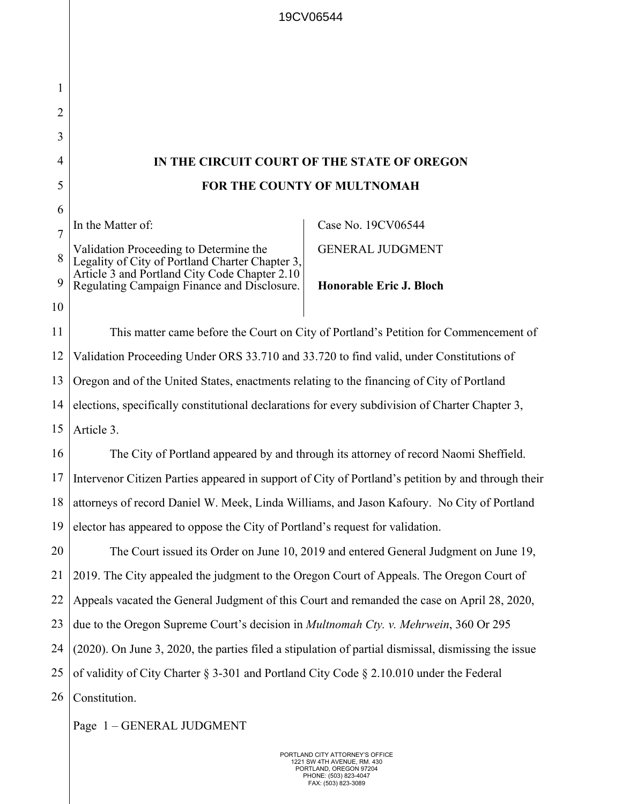| 1              |                                                                                                                                            |                                |  |
|----------------|--------------------------------------------------------------------------------------------------------------------------------------------|--------------------------------|--|
| 2              |                                                                                                                                            |                                |  |
| 3              |                                                                                                                                            |                                |  |
| 4              | IN THE CIRCUIT COURT OF THE STATE OF OREGON                                                                                                |                                |  |
| 5              | FOR THE COUNTY OF MULTNOMAH                                                                                                                |                                |  |
| 6              |                                                                                                                                            |                                |  |
| $\overline{7}$ | In the Matter of:                                                                                                                          | Case No. 19CV06544             |  |
| 8              | Validation Proceeding to Determine the<br>Legality of City of Portland Charter Chapter 3,<br>Article 3 and Portland City Code Chapter 2.10 | <b>GENERAL JUDGMENT</b>        |  |
| 9              | Regulating Campaign Finance and Disclosure.                                                                                                | <b>Honorable Eric J. Bloch</b> |  |
| 10             |                                                                                                                                            |                                |  |
| 11             | This matter came before the Court on City of Portland's Petition for Commencement of                                                       |                                |  |
| 12             | Validation Proceeding Under ORS 33.710 and 33.720 to find valid, under Constitutions of                                                    |                                |  |
| 13             | Oregon and of the United States, enactments relating to the financing of City of Portland                                                  |                                |  |
| 14             | elections, specifically constitutional declarations for every subdivision of Charter Chapter 3,                                            |                                |  |
| 15             | Article 3.                                                                                                                                 |                                |  |
| 16             | The City of Portland appeared by and through its attorney of record Naomi Sheffield.                                                       |                                |  |
| 17             | Intervenor Citizen Parties appeared in support of City of Portland's petition by and through their                                         |                                |  |
| 18             | attorneys of record Daniel W. Meek, Linda Williams, and Jason Kafoury. No City of Portland                                                 |                                |  |
| 19             | elector has appeared to oppose the City of Portland's request for validation.                                                              |                                |  |
| 20             | The Court issued its Order on June 10, 2019 and entered General Judgment on June 19,                                                       |                                |  |
| 21             | 2019. The City appealed the judgment to the Oregon Court of Appeals. The Oregon Court of                                                   |                                |  |
| 22             | Appeals vacated the General Judgment of this Court and remanded the case on April 28, 2020,                                                |                                |  |
| 23             | due to the Oregon Supreme Court's decision in <i>Multnomah Cty. v. Mehrwein</i> , 360 Or 295                                               |                                |  |
| 24             | (2020). On June 3, 2020, the parties filed a stipulation of partial dismissal, dismissing the issue                                        |                                |  |
| 25             | of validity of City Charter § 3-301 and Portland City Code § 2.10.010 under the Federal                                                    |                                |  |
| 26             | Constitution.                                                                                                                              |                                |  |
|                | Page 1-GENERAL JUDGMENT                                                                                                                    |                                |  |

19CV06544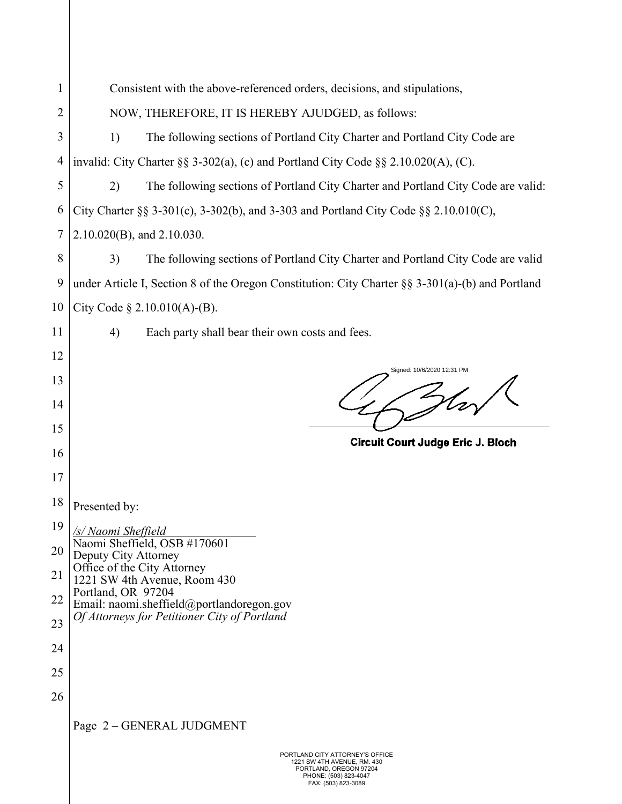| 1              | Consistent with the above-referenced orders, decisions, and stipulations,                            |  |  |  |  |
|----------------|------------------------------------------------------------------------------------------------------|--|--|--|--|
| $\overline{2}$ | NOW, THEREFORE, IT IS HEREBY AJUDGED, as follows:                                                    |  |  |  |  |
| 3              | 1)<br>The following sections of Portland City Charter and Portland City Code are                     |  |  |  |  |
| 4              | invalid: City Charter §§ 3-302(a), (c) and Portland City Code §§ 2.10.020(A), (C).                   |  |  |  |  |
| 5              | 2)<br>The following sections of Portland City Charter and Portland City Code are valid:              |  |  |  |  |
| 6              | City Charter §§ 3-301(c), 3-302(b), and 3-303 and Portland City Code §§ 2.10.010(C),                 |  |  |  |  |
| $\overline{7}$ | $2.10.020(B)$ , and $2.10.030$ .                                                                     |  |  |  |  |
| 8              | 3)<br>The following sections of Portland City Charter and Portland City Code are valid               |  |  |  |  |
| 9              | under Article I, Section 8 of the Oregon Constitution: City Charter $\S$ § 3-301(a)-(b) and Portland |  |  |  |  |
| 10             | City Code $\S 2.10.010(A)$ -(B).                                                                     |  |  |  |  |
| 11             | 4)<br>Each party shall bear their own costs and fees.                                                |  |  |  |  |
| 12             |                                                                                                      |  |  |  |  |
| 13             | Signed: 10/6/2020 12:31 PM                                                                           |  |  |  |  |
| 14             |                                                                                                      |  |  |  |  |
| 15             |                                                                                                      |  |  |  |  |
| 16             | Circuit Court Judge Eric J. Bloch                                                                    |  |  |  |  |
| 17             |                                                                                                      |  |  |  |  |
| 18             | Presented by:                                                                                        |  |  |  |  |
| 19             | /s/ Naomi Sheffield<br>Naomi Sheffield, OSB #170601                                                  |  |  |  |  |
| 20             | Deputy City Attorney                                                                                 |  |  |  |  |
| 21             | Office of the City Attorney<br>1221 SW 4th Avenue, Room 430<br>Portland, OR 97204                    |  |  |  |  |
| 22             | Email: naomi.sheffield@portlandoregon.gov                                                            |  |  |  |  |
| 23             | Of Attorneys for Petitioner City of Portland                                                         |  |  |  |  |
|                |                                                                                                      |  |  |  |  |
| 24             |                                                                                                      |  |  |  |  |
| 25             |                                                                                                      |  |  |  |  |
| 26             |                                                                                                      |  |  |  |  |
|                | Page 2 - GENERAL JUDGMENT                                                                            |  |  |  |  |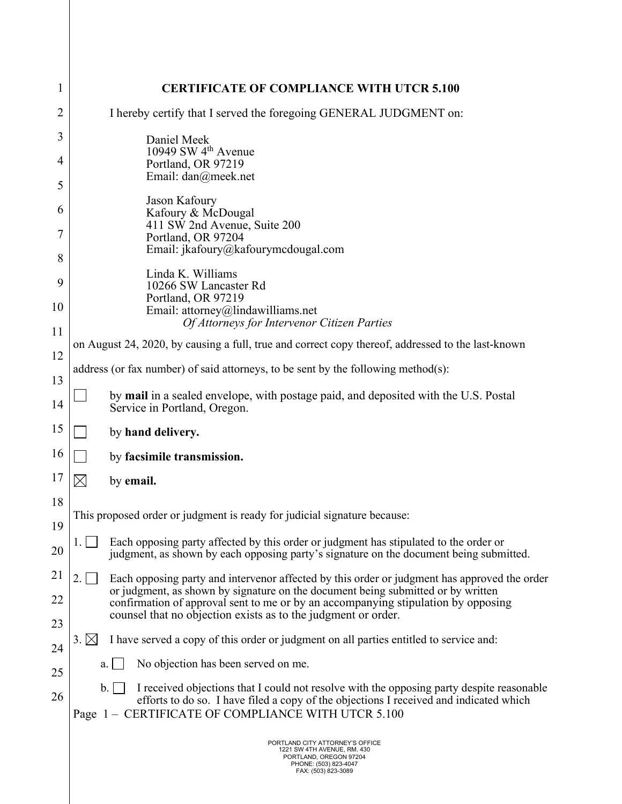| 1  | <b>CERTIFICATE OF COMPLIANCE WITH UTCR 5.100</b>                                                                                                                                                                                                |  |  |  |
|----|-------------------------------------------------------------------------------------------------------------------------------------------------------------------------------------------------------------------------------------------------|--|--|--|
| 2  | I hereby certify that I served the foregoing GENERAL JUDGMENT on:                                                                                                                                                                               |  |  |  |
| 3  | Daniel Meek                                                                                                                                                                                                                                     |  |  |  |
| 4  | 10949 SW 4 <sup>th</sup> Avenue<br>Portland, OR 97219                                                                                                                                                                                           |  |  |  |
| 5  | Email: dan@meek.net                                                                                                                                                                                                                             |  |  |  |
| 6  | Jason Kafoury<br>Kafoury & McDougal<br>411 SW 2nd Avenue, Suite 200<br>Portland, OR 97204                                                                                                                                                       |  |  |  |
| 7  |                                                                                                                                                                                                                                                 |  |  |  |
| 8  | Email: jkafoury@kafourymcdougal.com                                                                                                                                                                                                             |  |  |  |
| 9  | Linda K. Williams<br>10266 SW Lancaster Rd                                                                                                                                                                                                      |  |  |  |
| 10 | Portland, OR 97219<br>Email: attorney@lindawilliams.net                                                                                                                                                                                         |  |  |  |
| 11 | Of Attorneys for Intervenor Citizen Parties                                                                                                                                                                                                     |  |  |  |
| 12 | on August 24, 2020, by causing a full, true and correct copy thereof, addressed to the last-known                                                                                                                                               |  |  |  |
| 13 | address (or fax number) of said attorneys, to be sent by the following method $(s)$ :                                                                                                                                                           |  |  |  |
| 14 | by mail in a sealed envelope, with postage paid, and deposited with the U.S. Postal<br>Service in Portland, Oregon.                                                                                                                             |  |  |  |
| 15 | by hand delivery.                                                                                                                                                                                                                               |  |  |  |
| 16 | by facsimile transmission.                                                                                                                                                                                                                      |  |  |  |
| 17 | $\boxtimes$<br>by email.                                                                                                                                                                                                                        |  |  |  |
| 18 | This proposed order or judgment is ready for judicial signature because:                                                                                                                                                                        |  |  |  |
| 19 |                                                                                                                                                                                                                                                 |  |  |  |
| 20 | Each opposing party affected by this order or judgment has stipulated to the order or<br>1.1<br>judgment, as shown by each opposing party's signature on the document being submitted.                                                          |  |  |  |
| 21 | 2.<br>Each opposing party and intervenor affected by this order or judgment has approved the order<br>or judgment, as shown by signature on the document being submitted or by written                                                          |  |  |  |
| 22 | confirmation of approval sent to me or by an accompanying stipulation by opposing<br>counsel that no objection exists as to the judgment or order.                                                                                              |  |  |  |
| 23 | $3. \boxtimes$<br>I have served a copy of this order or judgment on all parties entitled to service and:                                                                                                                                        |  |  |  |
| 24 | No objection has been served on me.                                                                                                                                                                                                             |  |  |  |
| 25 | a.                                                                                                                                                                                                                                              |  |  |  |
| 26 | I received objections that I could not resolve with the opposing party despite reasonable<br>b.<br>efforts to do so. I have filed a copy of the objections I received and indicated which<br>Page 1 – CERTIFICATE OF COMPLIANCE WITH UTCR 5.100 |  |  |  |
|    | PORTLAND CITY ATTORNEY'S OFFICE<br>1221 SW 4TH AVENUE, RM. 430<br>PORTLAND, OREGON 97204<br>PHONE: (503) 823-4047<br>FAX: (503) 823-3089                                                                                                        |  |  |  |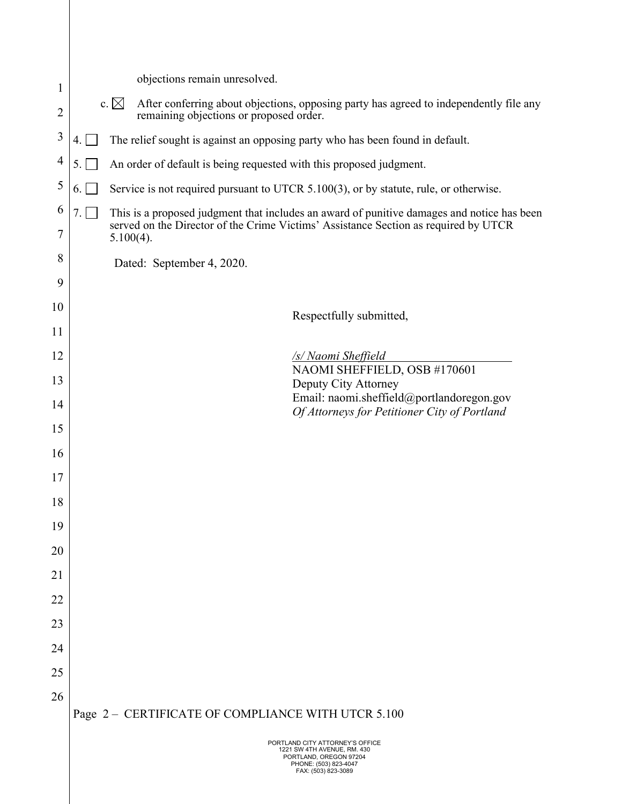| 1                   |                                                                                     | objections remain unresolved.                                                                                                                                                     |  |
|---------------------|-------------------------------------------------------------------------------------|-----------------------------------------------------------------------------------------------------------------------------------------------------------------------------------|--|
| $\overline{2}$      | c. $\boxtimes$                                                                      | After conferring about objections, opposing party has agreed to independently file any<br>remaining objections or proposed order.                                                 |  |
| $\mathfrak{Z}$      | The relief sought is against an opposing party who has been found in default.<br>4. |                                                                                                                                                                                   |  |
| $\overline{4}$      | 5.                                                                                  | An order of default is being requested with this proposed judgment.                                                                                                               |  |
| 5                   | 6.                                                                                  | Service is not required pursuant to UTCR 5.100(3), or by statute, rule, or otherwise.                                                                                             |  |
| 6<br>$\overline{7}$ | 7.1<br>$5.100(4)$ .                                                                 | This is a proposed judgment that includes an award of punitive damages and notice has been<br>served on the Director of the Crime Victims' Assistance Section as required by UTCR |  |
| 8                   | Dated: September 4, 2020.                                                           |                                                                                                                                                                                   |  |
| 9                   |                                                                                     |                                                                                                                                                                                   |  |
| 10                  |                                                                                     | Respectfully submitted,                                                                                                                                                           |  |
| 11                  |                                                                                     |                                                                                                                                                                                   |  |
| 12                  |                                                                                     | /s/ Naomi Sheffield                                                                                                                                                               |  |
| 13                  |                                                                                     | NAOMI SHEFFIELD, OSB #170601<br>Deputy City Attorney                                                                                                                              |  |
| 14                  |                                                                                     | Email: naomi.sheffield@portlandoregon.gov<br>Of Attorneys for Petitioner City of Portland                                                                                         |  |
| 15                  |                                                                                     |                                                                                                                                                                                   |  |
| 16                  |                                                                                     |                                                                                                                                                                                   |  |
| 17                  |                                                                                     |                                                                                                                                                                                   |  |
| 18                  |                                                                                     |                                                                                                                                                                                   |  |
| 19                  |                                                                                     |                                                                                                                                                                                   |  |
| 20                  |                                                                                     |                                                                                                                                                                                   |  |
| 21                  |                                                                                     |                                                                                                                                                                                   |  |
| 22                  |                                                                                     |                                                                                                                                                                                   |  |
| 23                  |                                                                                     |                                                                                                                                                                                   |  |
| 24                  |                                                                                     |                                                                                                                                                                                   |  |
| 25                  |                                                                                     |                                                                                                                                                                                   |  |
| 26                  |                                                                                     |                                                                                                                                                                                   |  |
|                     |                                                                                     | Page 2 - CERTIFICATE OF COMPLIANCE WITH UTCR 5.100                                                                                                                                |  |
|                     |                                                                                     | PORTLAND CITY ATTORNEY'S OFFICE<br>1221 SW 4TH AVENUE, RM. 430<br>PORTLAND, OREGON 97204<br>PHONE: (503) 823-4047<br>FAX: (503) 823-3089                                          |  |